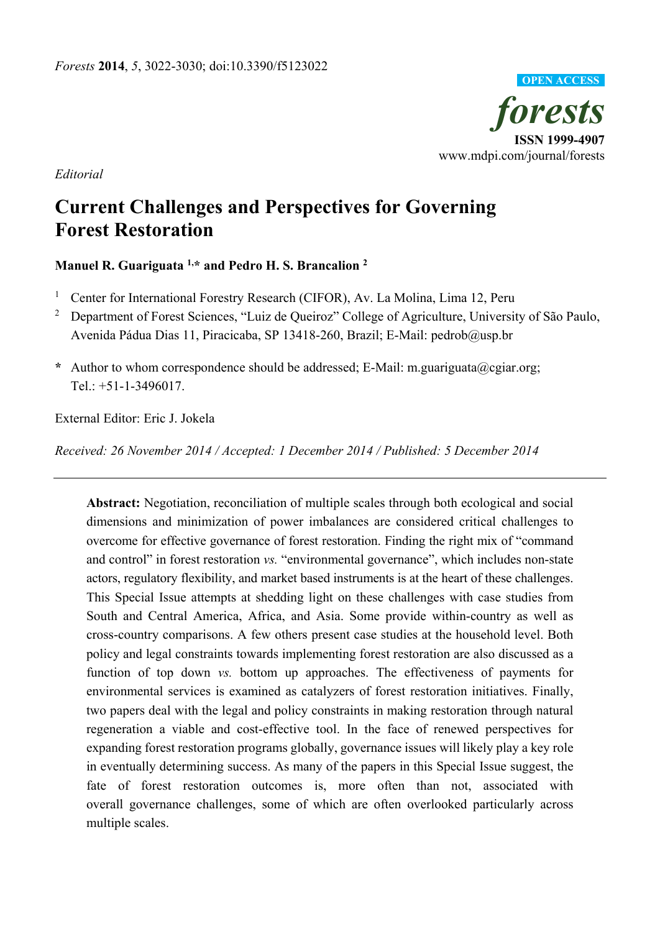

*Editorial*

# **Current Challenges and Perspectives for Governing Forest Restoration**

# **Manuel R. Guariguata 1,\* and Pedro H. S. Brancalion 2**

- <sup>1</sup> Center for International Forestry Research (CIFOR), Av. La Molina, Lima 12, Peru
- <sup>2</sup> Department of Forest Sciences, "Luiz de Queiroz" College of Agriculture, University of São Paulo, Avenida Pádua Dias 11, Piracicaba, SP 13418-260, Brazil; E-Mail: pedrob@usp.br
- **\*** Author to whom correspondence should be addressed; E-Mail: m.guariguata@cgiar.org; Tel.: +51-1-3496017.

External Editor: Eric J. Jokela

*Received: 26 November 2014 / Accepted: 1 December 2014 / Published: 5 December 2014* 

**Abstract:** Negotiation, reconciliation of multiple scales through both ecological and social dimensions and minimization of power imbalances are considered critical challenges to overcome for effective governance of forest restoration. Finding the right mix of "command and control" in forest restoration *vs.* "environmental governance", which includes non-state actors, regulatory flexibility, and market based instruments is at the heart of these challenges. This Special Issue attempts at shedding light on these challenges with case studies from South and Central America, Africa, and Asia. Some provide within-country as well as cross-country comparisons. A few others present case studies at the household level. Both policy and legal constraints towards implementing forest restoration are also discussed as a function of top down *vs.* bottom up approaches. The effectiveness of payments for environmental services is examined as catalyzers of forest restoration initiatives. Finally, two papers deal with the legal and policy constraints in making restoration through natural regeneration a viable and cost-effective tool. In the face of renewed perspectives for expanding forest restoration programs globally, governance issues will likely play a key role in eventually determining success. As many of the papers in this Special Issue suggest, the fate of forest restoration outcomes is, more often than not, associated with overall governance challenges, some of which are often overlooked particularly across multiple scales.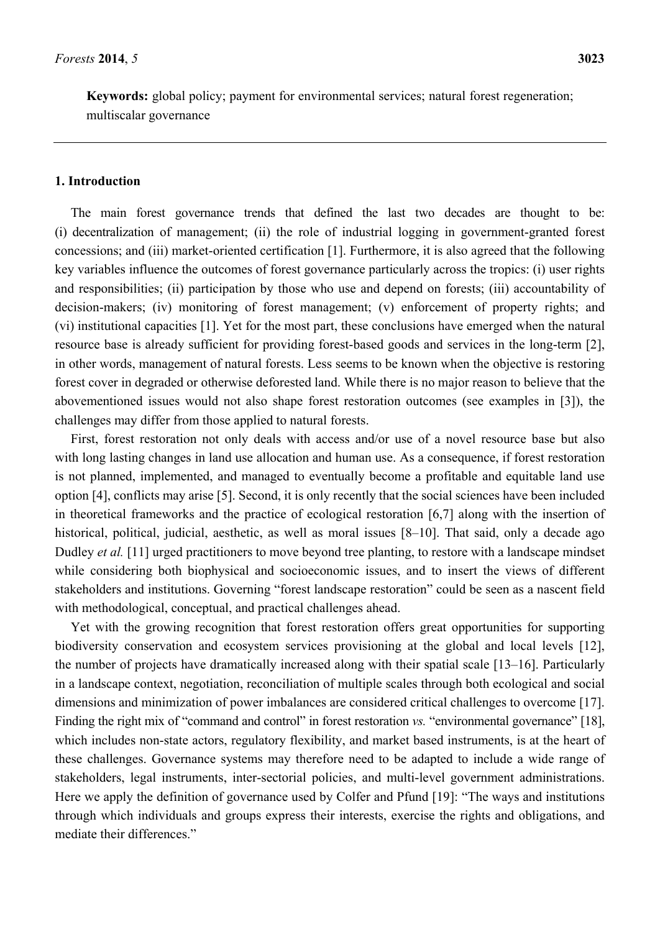**Keywords:** global policy; payment for environmental services; natural forest regeneration; multiscalar governance

#### **1. Introduction**

The main forest governance trends that defined the last two decades are thought to be: (i) decentralization of management; (ii) the role of industrial logging in government-granted forest concessions; and (iii) market-oriented certification [1]. Furthermore, it is also agreed that the following key variables influence the outcomes of forest governance particularly across the tropics: (i) user rights and responsibilities; (ii) participation by those who use and depend on forests; (iii) accountability of decision-makers; (iv) monitoring of forest management; (v) enforcement of property rights; and (vi) institutional capacities [1]. Yet for the most part, these conclusions have emerged when the natural resource base is already sufficient for providing forest-based goods and services in the long-term [2], in other words, management of natural forests. Less seems to be known when the objective is restoring forest cover in degraded or otherwise deforested land. While there is no major reason to believe that the abovementioned issues would not also shape forest restoration outcomes (see examples in [3]), the challenges may differ from those applied to natural forests.

First, forest restoration not only deals with access and/or use of a novel resource base but also with long lasting changes in land use allocation and human use. As a consequence, if forest restoration is not planned, implemented, and managed to eventually become a profitable and equitable land use option [4], conflicts may arise [5]. Second, it is only recently that the social sciences have been included in theoretical frameworks and the practice of ecological restoration [6,7] along with the insertion of historical, political, judicial, aesthetic, as well as moral issues [8–10]. That said, only a decade ago Dudley *et al.* [11] urged practitioners to move beyond tree planting, to restore with a landscape mindset while considering both biophysical and socioeconomic issues, and to insert the views of different stakeholders and institutions. Governing "forest landscape restoration" could be seen as a nascent field with methodological, conceptual, and practical challenges ahead.

Yet with the growing recognition that forest restoration offers great opportunities for supporting biodiversity conservation and ecosystem services provisioning at the global and local levels [12], the number of projects have dramatically increased along with their spatial scale [13–16]. Particularly in a landscape context, negotiation, reconciliation of multiple scales through both ecological and social dimensions and minimization of power imbalances are considered critical challenges to overcome [17]. Finding the right mix of "command and control" in forest restoration *vs.* "environmental governance" [18], which includes non-state actors, regulatory flexibility, and market based instruments, is at the heart of these challenges. Governance systems may therefore need to be adapted to include a wide range of stakeholders, legal instruments, inter-sectorial policies, and multi-level government administrations. Here we apply the definition of governance used by Colfer and Pfund [19]: "The ways and institutions through which individuals and groups express their interests, exercise the rights and obligations, and mediate their differences."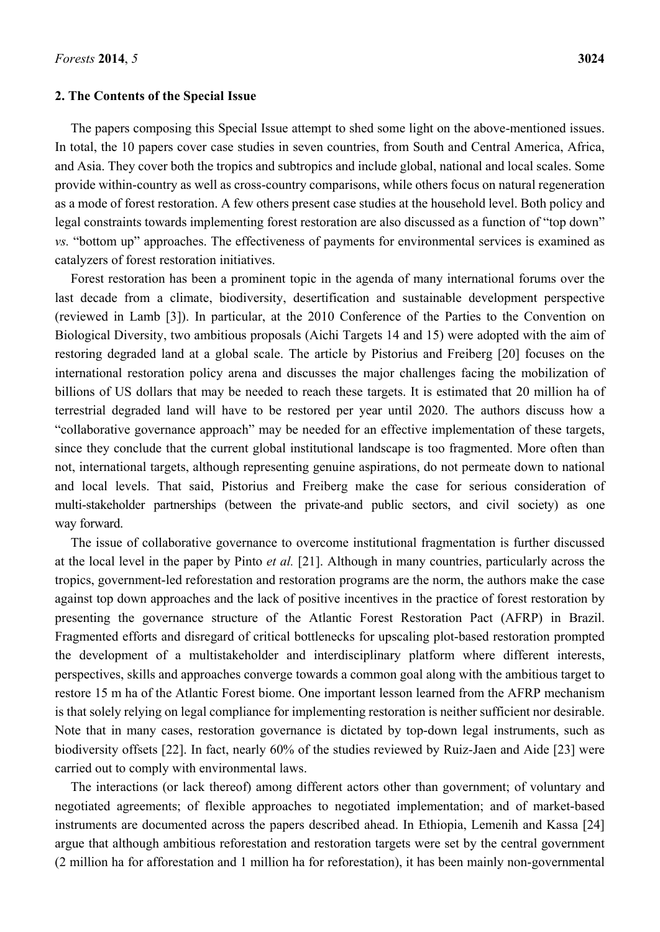#### **2. The Contents of the Special Issue**

The papers composing this Special Issue attempt to shed some light on the above-mentioned issues. In total, the 10 papers cover case studies in seven countries, from South and Central America, Africa, and Asia. They cover both the tropics and subtropics and include global, national and local scales. Some provide within-country as well as cross-country comparisons, while others focus on natural regeneration as a mode of forest restoration. A few others present case studies at the household level. Both policy and legal constraints towards implementing forest restoration are also discussed as a function of "top down" *vs.* "bottom up" approaches. The effectiveness of payments for environmental services is examined as catalyzers of forest restoration initiatives.

Forest restoration has been a prominent topic in the agenda of many international forums over the last decade from a climate, biodiversity, desertification and sustainable development perspective (reviewed in Lamb [3]). In particular, at the 2010 Conference of the Parties to the Convention on Biological Diversity, two ambitious proposals (Aichi Targets 14 and 15) were adopted with the aim of restoring degraded land at a global scale. The article by Pistorius and Freiberg [20] focuses on the international restoration policy arena and discusses the major challenges facing the mobilization of billions of US dollars that may be needed to reach these targets. It is estimated that 20 million ha of terrestrial degraded land will have to be restored per year until 2020. The authors discuss how a "collaborative governance approach" may be needed for an effective implementation of these targets, since they conclude that the current global institutional landscape is too fragmented. More often than not, international targets, although representing genuine aspirations, do not permeate down to national and local levels. That said, Pistorius and Freiberg make the case for serious consideration of multi-stakeholder partnerships (between the private-and public sectors, and civil society) as one way forward.

The issue of collaborative governance to overcome institutional fragmentation is further discussed at the local level in the paper by Pinto *et al.* [21]. Although in many countries, particularly across the tropics, government-led reforestation and restoration programs are the norm, the authors make the case against top down approaches and the lack of positive incentives in the practice of forest restoration by presenting the governance structure of the Atlantic Forest Restoration Pact (AFRP) in Brazil. Fragmented efforts and disregard of critical bottlenecks for upscaling plot-based restoration prompted the development of a multistakeholder and interdisciplinary platform where different interests, perspectives, skills and approaches converge towards a common goal along with the ambitious target to restore 15 m ha of the Atlantic Forest biome. One important lesson learned from the AFRP mechanism is that solely relying on legal compliance for implementing restoration is neither sufficient nor desirable. Note that in many cases, restoration governance is dictated by top-down legal instruments, such as biodiversity offsets [22]. In fact, nearly 60% of the studies reviewed by Ruiz-Jaen and Aide [23] were carried out to comply with environmental laws.

The interactions (or lack thereof) among different actors other than government; of voluntary and negotiated agreements; of flexible approaches to negotiated implementation; and of market-based instruments are documented across the papers described ahead. In Ethiopia, Lemenih and Kassa [24] argue that although ambitious reforestation and restoration targets were set by the central government (2 million ha for afforestation and 1 million ha for reforestation), it has been mainly non-governmental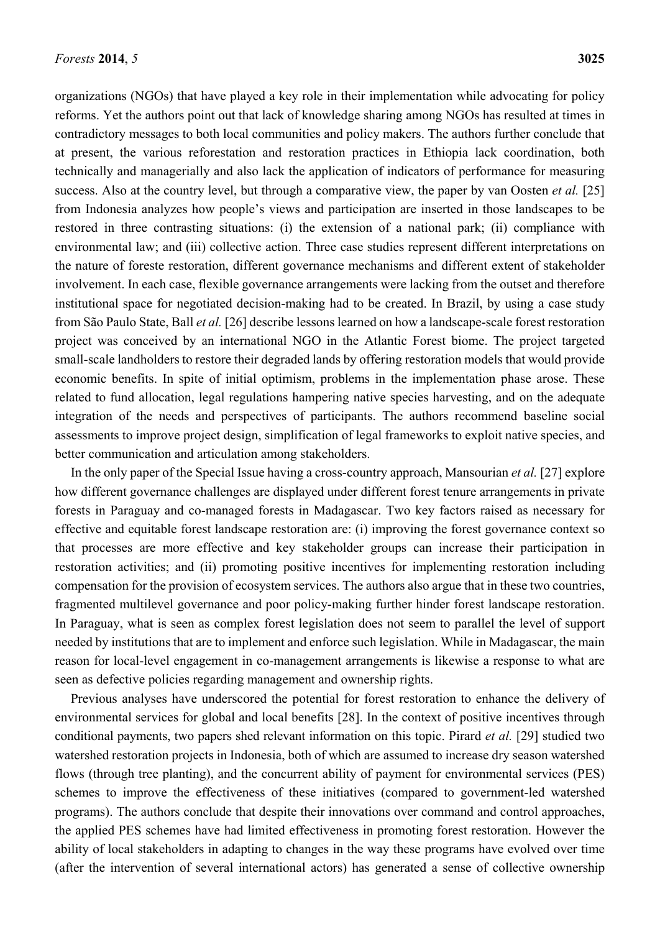organizations (NGOs) that have played a key role in their implementation while advocating for policy reforms. Yet the authors point out that lack of knowledge sharing among NGOs has resulted at times in contradictory messages to both local communities and policy makers. The authors further conclude that at present, the various reforestation and restoration practices in Ethiopia lack coordination, both technically and managerially and also lack the application of indicators of performance for measuring success. Also at the country level, but through a comparative view, the paper by van Oosten *et al.* [25] from Indonesia analyzes how people's views and participation are inserted in those landscapes to be restored in three contrasting situations: (i) the extension of a national park; (ii) compliance with environmental law; and (iii) collective action. Three case studies represent different interpretations on the nature of foreste restoration, different governance mechanisms and different extent of stakeholder involvement. In each case, flexible governance arrangements were lacking from the outset and therefore institutional space for negotiated decision-making had to be created. In Brazil, by using a case study from São Paulo State, Ball *et al.* [26] describe lessons learned on how a landscape-scale forest restoration project was conceived by an international NGO in the Atlantic Forest biome. The project targeted small-scale landholders to restore their degraded lands by offering restoration models that would provide economic benefits. In spite of initial optimism, problems in the implementation phase arose. These related to fund allocation, legal regulations hampering native species harvesting, and on the adequate integration of the needs and perspectives of participants. The authors recommend baseline social assessments to improve project design, simplification of legal frameworks to exploit native species, and better communication and articulation among stakeholders.

In the only paper of the Special Issue having a cross-country approach, Mansourian *et al.* [27] explore how different governance challenges are displayed under different forest tenure arrangements in private forests in Paraguay and co-managed forests in Madagascar. Two key factors raised as necessary for effective and equitable forest landscape restoration are: (i) improving the forest governance context so that processes are more effective and key stakeholder groups can increase their participation in restoration activities; and (ii) promoting positive incentives for implementing restoration including compensation for the provision of ecosystem services. The authors also argue that in these two countries, fragmented multilevel governance and poor policy-making further hinder forest landscape restoration. In Paraguay, what is seen as complex forest legislation does not seem to parallel the level of support needed by institutions that are to implement and enforce such legislation. While in Madagascar, the main reason for local-level engagement in co-management arrangements is likewise a response to what are seen as defective policies regarding management and ownership rights.

Previous analyses have underscored the potential for forest restoration to enhance the delivery of environmental services for global and local benefits [28]. In the context of positive incentives through conditional payments, two papers shed relevant information on this topic. Pirard *et al.* [29] studied two watershed restoration projects in Indonesia, both of which are assumed to increase dry season watershed flows (through tree planting), and the concurrent ability of payment for environmental services (PES) schemes to improve the effectiveness of these initiatives (compared to government-led watershed programs). The authors conclude that despite their innovations over command and control approaches, the applied PES schemes have had limited effectiveness in promoting forest restoration. However the ability of local stakeholders in adapting to changes in the way these programs have evolved over time (after the intervention of several international actors) has generated a sense of collective ownership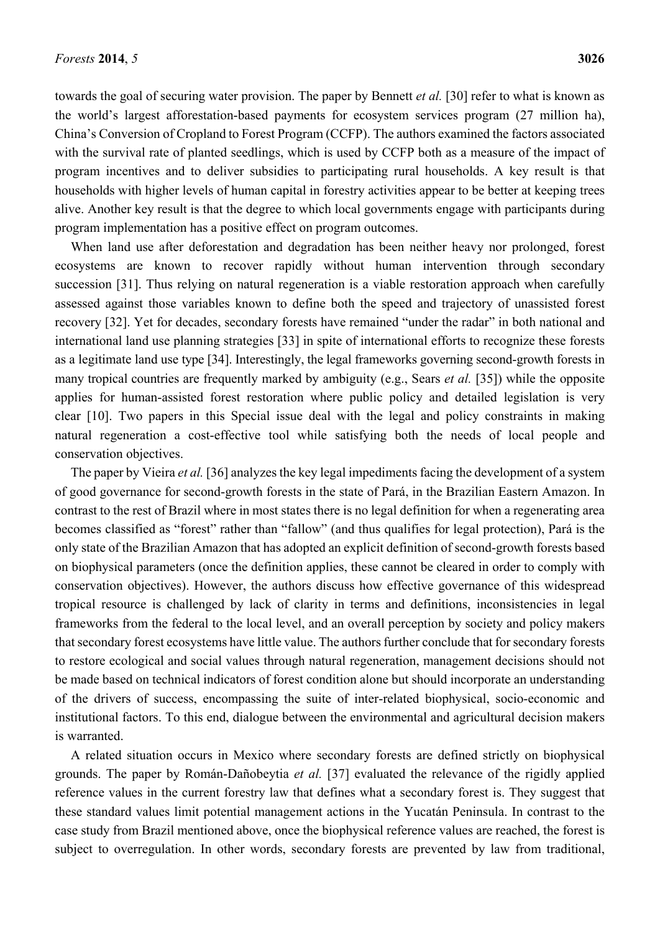towards the goal of securing water provision. The paper by Bennett *et al.* [30] refer to what is known as the world's largest afforestation-based payments for ecosystem services program (27 million ha), China's Conversion of Cropland to Forest Program (CCFP). The authors examined the factors associated with the survival rate of planted seedlings, which is used by CCFP both as a measure of the impact of program incentives and to deliver subsidies to participating rural households. A key result is that households with higher levels of human capital in forestry activities appear to be better at keeping trees alive. Another key result is that the degree to which local governments engage with participants during program implementation has a positive effect on program outcomes.

When land use after deforestation and degradation has been neither heavy nor prolonged, forest ecosystems are known to recover rapidly without human intervention through secondary succession [31]. Thus relying on natural regeneration is a viable restoration approach when carefully assessed against those variables known to define both the speed and trajectory of unassisted forest recovery [32]. Yet for decades, secondary forests have remained "under the radar" in both national and international land use planning strategies [33] in spite of international efforts to recognize these forests as a legitimate land use type [34]. Interestingly, the legal frameworks governing second-growth forests in many tropical countries are frequently marked by ambiguity (e.g., Sears *et al.* [35]) while the opposite applies for human-assisted forest restoration where public policy and detailed legislation is very clear [10]. Two papers in this Special issue deal with the legal and policy constraints in making natural regeneration a cost-effective tool while satisfying both the needs of local people and conservation objectives.

The paper by Vieira *et al.* [36] analyzes the key legal impediments facing the development of a system of good governance for second-growth forests in the state of Pará, in the Brazilian Eastern Amazon. In contrast to the rest of Brazil where in most states there is no legal definition for when a regenerating area becomes classified as "forest" rather than "fallow" (and thus qualifies for legal protection), Pará is the only state of the Brazilian Amazon that has adopted an explicit definition of second-growth forests based on biophysical parameters (once the definition applies, these cannot be cleared in order to comply with conservation objectives). However, the authors discuss how effective governance of this widespread tropical resource is challenged by lack of clarity in terms and definitions, inconsistencies in legal frameworks from the federal to the local level, and an overall perception by society and policy makers that secondary forest ecosystems have little value. The authors further conclude that for secondary forests to restore ecological and social values through natural regeneration, management decisions should not be made based on technical indicators of forest condition alone but should incorporate an understanding of the drivers of success, encompassing the suite of inter-related biophysical, socio-economic and institutional factors. To this end, dialogue between the environmental and agricultural decision makers is warranted.

A related situation occurs in Mexico where secondary forests are defined strictly on biophysical grounds. The paper by Román-Dañobeytia *et al.* [37] evaluated the relevance of the rigidly applied reference values in the current forestry law that defines what a secondary forest is. They suggest that these standard values limit potential management actions in the Yucatán Peninsula. In contrast to the case study from Brazil mentioned above, once the biophysical reference values are reached, the forest is subject to overregulation. In other words, secondary forests are prevented by law from traditional,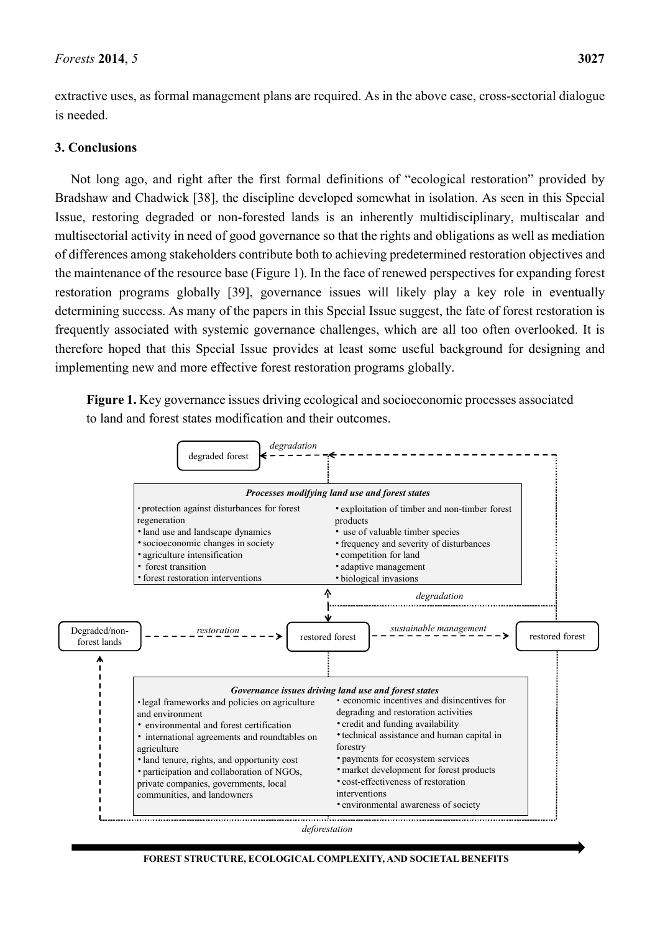extractive uses, as formal management plans are required. As in the above case, cross-sectorial dialogue is needed.

# **3. Conclusions**

Not long ago, and right after the first formal definitions of "ecological restoration" provided by Bradshaw and Chadwick [38], the discipline developed somewhat in isolation. As seen in this Special Issue, restoring degraded or non-forested lands is an inherently multidisciplinary, multiscalar and multisectorial activity in need of good governance so that the rights and obligations as well as mediation of differences among stakeholders contribute both to achieving predetermined restoration objectives and the maintenance of the resource base (Figure 1). In the face of renewed perspectives for expanding forest restoration programs globally [39], governance issues will likely play a key role in eventually determining success. As many of the papers in this Special Issue suggest, the fate of forest restoration is frequently associated with systemic governance challenges, which are all too often overlooked. It is therefore hoped that this Special Issue provides at least some useful background for designing and implementing new and more effective forest restoration programs globally.

**Figure 1.** Key governance issues driving ecological and socioeconomic processes associated to land and forest states modification and their outcomes.



*deforestation*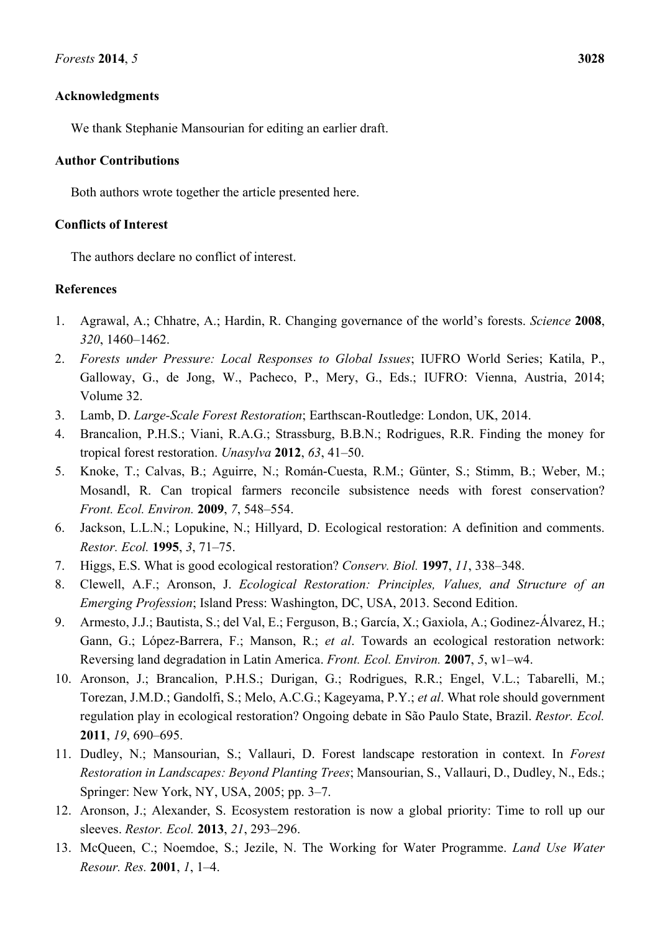# **Acknowledgments**

We thank Stephanie Mansourian for editing an earlier draft.

### **Author Contributions**

Both authors wrote together the article presented here.

# **Conflicts of Interest**

The authors declare no conflict of interest.

# **References**

- 1. Agrawal, A.; Chhatre, A.; Hardin, R. Changing governance of the world's forests. *Science* **2008**, *320*, 1460–1462.
- 2. *Forests under Pressure: Local Responses to Global Issues*; IUFRO World Series; Katila, P., Galloway, G., de Jong, W., Pacheco, P., Mery, G., Eds.; IUFRO: Vienna, Austria, 2014; Volume 32.
- 3. Lamb, D. *Large-Scale Forest Restoration*; Earthscan-Routledge: London, UK, 2014.
- 4. Brancalion, P.H.S.; Viani, R.A.G.; Strassburg, B.B.N.; Rodrigues, R.R. Finding the money for tropical forest restoration. *Unasylva* **2012**, *63*, 41–50.
- 5. Knoke, T.; Calvas, B.; Aguirre, N.; Román-Cuesta, R.M.; Günter, S.; Stimm, B.; Weber, M.; Mosandl, R. Can tropical farmers reconcile subsistence needs with forest conservation? *Front. Ecol. Environ.* **2009**, *7*, 548–554.
- 6. Jackson, L.L.N.; Lopukine, N.; Hillyard, D. Ecological restoration: A definition and comments. *Restor. Ecol.* **1995**, *3*, 71–75.
- 7. Higgs, E.S. What is good ecological restoration? *Conserv. Biol.* **1997**, *11*, 338–348.
- 8. Clewell, A.F.; Aronson, J. *Ecological Restoration: Principles, Values, and Structure of an Emerging Profession*; Island Press: Washington, DC, USA, 2013. Second Edition.
- 9. Armesto, J.J.; Bautista, S.; del Val, E.; Ferguson, B.; García, X.; Gaxiola, A.; Godinez-Álvarez, H.; Gann, G.; López-Barrera, F.; Manson, R.; *et al*. Towards an ecological restoration network: Reversing land degradation in Latin America. *Front. Ecol. Environ.* **2007**, *5*, w1–w4.
- 10. Aronson, J.; Brancalion, P.H.S.; Durigan, G.; Rodrigues, R.R.; Engel, V.L.; Tabarelli, M.; Torezan, J.M.D.; Gandolfi, S.; Melo, A.C.G.; Kageyama, P.Y.; *et al*. What role should government regulation play in ecological restoration? Ongoing debate in São Paulo State, Brazil. *Restor. Ecol.* **2011**, *19*, 690–695.
- 11. Dudley, N.; Mansourian, S.; Vallauri, D. Forest landscape restoration in context. In *Forest Restoration in Landscapes: Beyond Planting Trees*; Mansourian, S., Vallauri, D., Dudley, N., Eds.; Springer: New York, NY, USA, 2005; pp. 3–7.
- 12. Aronson, J.; Alexander, S. Ecosystem restoration is now a global priority: Time to roll up our sleeves. *Restor. Ecol.* **2013**, *21*, 293–296.
- 13. McQueen, C.; Noemdoe, S.; Jezile, N. The Working for Water Programme. *Land Use Water Resour. Res.* **2001**, *1*, 1–4.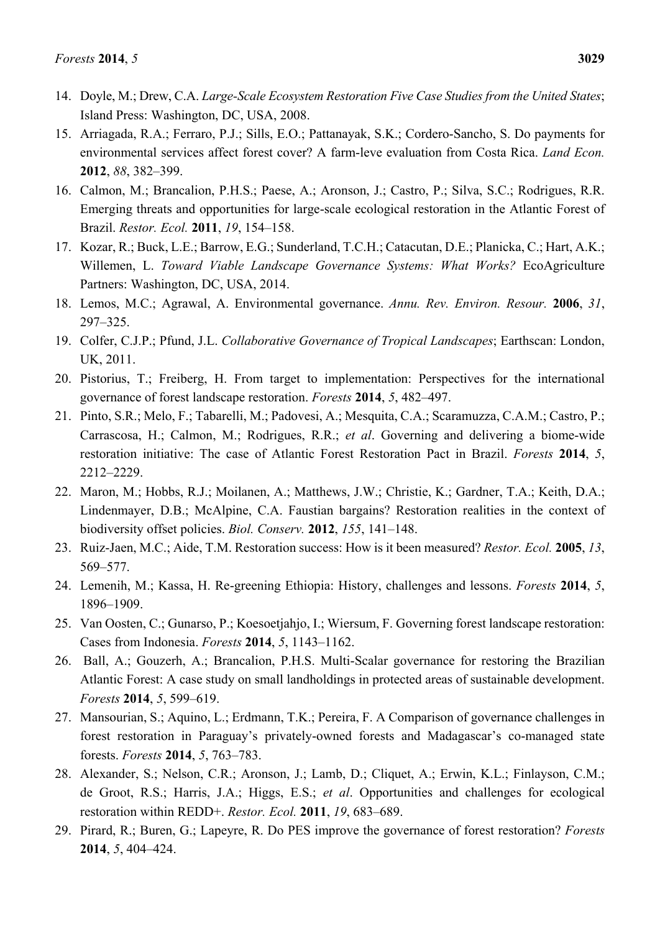- 14. Doyle, M.; Drew, C.A. *Large-Scale Ecosystem Restoration Five Case Studies from the United States*; Island Press: Washington, DC, USA, 2008.
- 15. Arriagada, R.A.; Ferraro, P.J.; Sills, E.O.; Pattanayak, S.K.; Cordero-Sancho, S. Do payments for environmental services affect forest cover? A farm-leve evaluation from Costa Rica. *Land Econ.*  **2012**, *88*, 382–399.
- 16. Calmon, M.; Brancalion, P.H.S.; Paese, A.; Aronson, J.; Castro, P.; Silva, S.C.; Rodrigues, R.R. Emerging threats and opportunities for large-scale ecological restoration in the Atlantic Forest of Brazil. *Restor. Ecol.* **2011**, *19*, 154–158.
- 17. Kozar, R.; Buck, L.E.; Barrow, E.G.; Sunderland, T.C.H.; Catacutan, D.E.; Planicka, C.; Hart, A.K.; Willemen, L. *Toward Viable Landscape Governance Systems: What Works?* EcoAgriculture Partners: Washington, DC, USA, 2014.
- 18. Lemos, M.C.; Agrawal, A. Environmental governance. *Annu. Rev. Environ. Resour.* **2006**, *31*, 297–325.
- 19. Colfer, C.J.P.; Pfund, J.L. *Collaborative Governance of Tropical Landscapes*; Earthscan: London, UK, 2011.
- 20. Pistorius, T.; Freiberg, H. From target to implementation: Perspectives for the international governance of forest landscape restoration. *Forests* **2014**, *5*, 482–497.
- 21. Pinto, S.R.; Melo, F.; Tabarelli, M.; Padovesi, A.; Mesquita, C.A.; Scaramuzza, C.A.M.; Castro, P.; Carrascosa, H.; Calmon, M.; Rodrigues, R.R.; *et al*. Governing and delivering a biome-wide restoration initiative: The case of Atlantic Forest Restoration Pact in Brazil. *Forests* **2014**, *5*, 2212–2229.
- 22. Maron, M.; Hobbs, R.J.; Moilanen, A.; Matthews, J.W.; Christie, K.; Gardner, T.A.; Keith, D.A.; Lindenmayer, D.B.; McAlpine, C.A. Faustian bargains? Restoration realities in the context of biodiversity offset policies. *Biol. Conserv.* **2012**, *155*, 141–148.
- 23. Ruiz-Jaen, M.C.; Aide, T.M. Restoration success: How is it been measured? *Restor. Ecol.* **2005**, *13*, 569–577.
- 24. Lemenih, M.; Kassa, H. Re-greening Ethiopia: History, challenges and lessons. *Forests* **2014**, *5*, 1896–1909.
- 25. Van Oosten, C.; Gunarso, P.; Koesoetjahjo, I.; Wiersum, F. Governing forest landscape restoration: Cases from Indonesia. *Forests* **2014**, *5*, 1143–1162.
- 26. Ball, A.; Gouzerh, A.; Brancalion, P.H.S. Multi-Scalar governance for restoring the Brazilian Atlantic Forest: A case study on small landholdings in protected areas of sustainable development. *Forests* **2014**, *5*, 599–619.
- 27. Mansourian, S.; Aquino, L.; Erdmann, T.K.; Pereira, F. A Comparison of governance challenges in forest restoration in Paraguay's privately-owned forests and Madagascar's co-managed state forests. *Forests* **2014**, *5*, 763–783.
- 28. Alexander, S.; Nelson, C.R.; Aronson, J.; Lamb, D.; Cliquet, A.; Erwin, K.L.; Finlayson, C.M.; de Groot, R.S.; Harris, J.A.; Higgs, E.S.; *et al*. Opportunities and challenges for ecological restoration within REDD+. *Restor. Ecol.* **2011**, *19*, 683–689.
- 29. Pirard, R.; Buren, G.; Lapeyre, R. Do PES improve the governance of forest restoration? *Forests*  **2014**, *5*, 404–424.